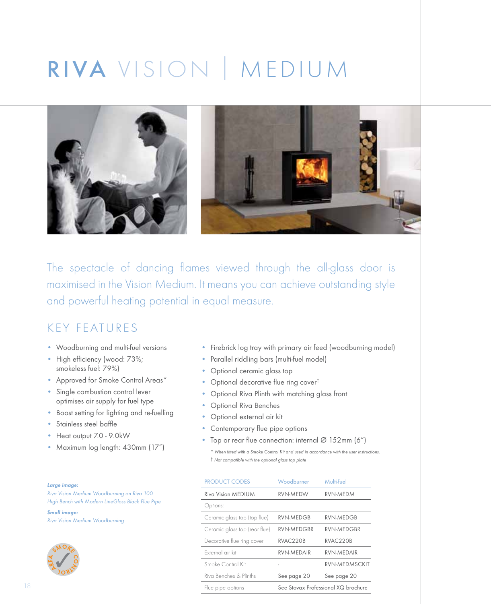# RIVA VISION I MEDIUM



The spectacle of dancing flames viewed through the all-glass door is maximised in the Vision Medium. It means you can achieve outstanding style and powerful heating potential in equal measure.

#### KEY FEATURES

- Woodburning and multi-fuel versions
- High efficiency (wood: 73%; smokeless fuel: 79%)
- Approved for Smoke Control Areas\*
- Single combustion control lever optimises air supply for fuel type
- Boost setting for lighting and re-fuelling
- Stainless steel baffle
- Heat output 7.0 9.0kW
- Maximum log length: 430mm (17")
- Firebrick log tray with primary air feed (woodburning model)
- Parallel riddling bars (multi-fuel model)
- Optional ceramic glass top
- Optional decorative flue ring cover†
- Optional Riva Plinth with matching glass front
- Optional Riva Benches
- Optional external air kit
- Contemporary flue pipe options
- Top or rear flue connection: internal Ø 152mm (6")
	- *\* When fitted with a Smoke Control Kit and used in accordance with the user instructions.*  † *Not compatible with the optional glass top plate*

| Large image: |  |  |
|--------------|--|--|
|              |  |  |
|              |  |  |

*Riva Vision Medium Woodburning on Riva 100 High Bench with Modern LineGloss Black Flue Pipe*

*Small image: Riva Vision Medium Woodburning*



| <b>PRODUCT CODES</b>          | Woodburner                          | Multi-fuel            |
|-------------------------------|-------------------------------------|-----------------------|
| <b>Riva Vision MEDIUM</b>     | RVN-MEDW                            | <b>RVN-MEDM</b>       |
| Options:                      |                                     |                       |
| Ceramic glass top (top flue)  | RVN-MEDGB                           | RVN-MEDGB             |
| Ceramic glass top (rear flue) | <b>RVN-MEDGBR</b>                   | <b>RVN-MEDGBR</b>     |
| Decorative flue ring cover    | RVAC220B                            | RVAC <sub>220</sub> B |
| External air kit              | RVN-MEDAIR                          | RVN-MEDAIR            |
| Smoke Control Kit             |                                     | <b>RVN-MEDMSCKIT</b>  |
| Riva Benches & Plinths        | See page 20                         | See page 20           |
| Flue pipe options             | See Stovax Professional XQ brochure |                       |